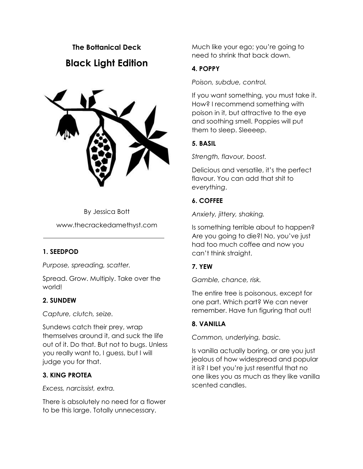# **The Bottanical Deck Black Light Edition**



By Jessica Bott www.thecrackedamethyst.com

#### **1. SEEDPOD**

*Purpose, spreading, scatter.*

Spread. Grow. Multiply. Take over the world!

#### **2. SUNDEW**

*Capture, clutch, seize.* 

Sundews catch their prey, wrap themselves around it, and suck the life out of it. Do that. But not to bugs. Unless you really want to, I guess, but I will judge you for that.

# **3. KING PROTEA**

*Excess, narcissist, extra.*

There is absolutely no need for a flower to be this large. Totally unnecessary.

Much like your ego; you're going to need to shrink that back down.

# **4. POPPY**

*Poison, subdue, control.*

If you want something, you must take it. How? I recommend something with poison in it, but attractive to the eye and soothing smell. Poppies will put them to sleep. Sleeeep.

# **5. BASIL**

*Strength, flavour, boost.*

Delicious and versatile, it's the perfect flavour. You can add that shit to *everything*.

# **6. COFFEE**

*Anxiety, jittery, shaking.*

Is something terrible about to happen? Are you going to die?! No, you've just had too much coffee and now you can't think straight.

# **7. YEW**

*Gamble, chance, risk.*

The entire tree is poisonous, except for one part. Which part? We can never remember. Have fun figuring that out!

# **8. VANILLA**

*Common, underlying, basic.*

Is vanilla actually boring, or are you just jealous of how widespread and popular it is? I bet you're just resentful that no one likes you as much as they like vanilla scented candles.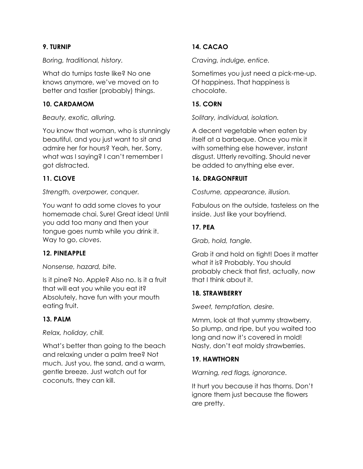## **9. TURNIP**

#### *Boring, traditional, history.*

What do turnips taste like? No one knows anymore, we've moved on to better and tastier (probably) things.

## **10. CARDAMOM**

*Beauty, exotic, alluring.*

You know that woman, who is stunningly beautiful, and you just want to sit and admire her for hours? Yeah, her. Sorry, what was I saying? I can't remember I got distracted.

# **11. CLOVE**

*Strength, overpower, conquer.* 

You want to add some cloves to your homemade chai. Sure! Great idea! Until you add too many and then your tongue goes numb while you drink it. Way to go, *cloves*.

# **12. PINEAPPLE**

#### *Nonsense, hazard, bite.*

Is it pine? No. Apple? Also no. Is it a fruit that will eat you while you eat it? Absolutely, have fun with your mouth eating fruit.

# **13. PALM**

*Relax, holiday, chill.*

What's better than going to the beach and relaxing under a palm tree? Not much. Just you, the sand, and a warm, gentle breeze. Just watch out for coconuts, they can kill.

# **14. CACAO**

*Craving, indulge, entice.* 

Sometimes you just need a pick-me-up. Of happiness. That happiness is chocolate.

## **15. CORN**

*Solitary, individual, isolation.* 

A decent vegetable when eaten by itself at a barbeque. Once you mix it with something else however, instant disgust. Utterly revolting. Should never be added to anything else ever.

## **16. DRAGONFRUIT**

*Costume, appearance, illusion.*

Fabulous on the outside, tasteless on the inside. Just like your boyfriend.

## **17. PEA**

*Grab, hold, tangle.*

Grab it and hold on tight! Does it matter what it is? Probably. You should probably check that first, actually, now that I think about it.

# **18. STRAWBERRY**

*Sweet, temptation, desire.*

Mmm, look at that yummy strawberry. So plump, and ripe, but you waited too long and now it's covered in mold! Nasty, don't eat moldy strawberries.

# **19. HAWTHORN**

*Warning, red flags, ignorance.*

It hurt you because it has thorns. Don't ignore them just because the flowers are pretty.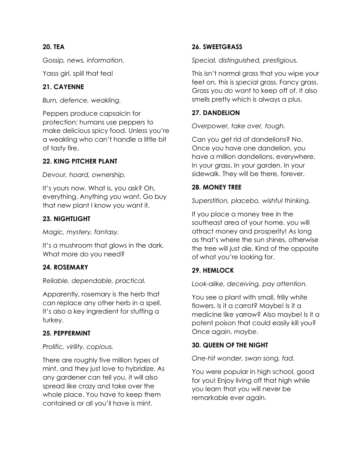## **20. TEA**

*Gossip, news, information.*

Yasss girl, spill that tea!

## **21. CAYENNE**

*Burn, defence, weakling.*

Peppers produce capsaicin for protection; humans use peppers to make delicious spicy food. Unless you're a weakling who can't handle a little bit of tasty fire.

## **22. KING PITCHER PLANT**

*Devour, hoard, ownership.*

It's yours now. What is, you ask? Oh, everything. Anything you want. Go buy that new plant I know you want it.

## **23. NIGHTLIGHT**

*Magic, mystery, fantasy.*

It's a mushroom that glows in the dark. What more do you need?

# **24. ROSEMARY**

*Reliable, dependable, practical.*

Apparently, rosemary is the herb that can replace any other herb in a spell. It's also a key ingredient for stuffing a turkey.

#### **25. PEPPERMINT**

#### *Prolific, virility, copious.*

There are roughly five million types of mint, and they just love to hybridize. As any gardener can tell you, it will also spread like crazy and take over the whole place. You have to keep them contained or all you'll have is mint.

## **26. SWEETGRASS**

*Special, distinguished, prestigious.*

This isn't normal grass that you wipe your feet on, this is *special* grass. Fancy grass. Grass you *do* want to keep off of. It also smells pretty which is always a plus.

## **27. DANDELION**

*Overpower, take over, tough.*

Can you get rid of dandelions? No. Once you have one dandelion, you have a million dandelions, everywhere. In your grass. In your garden. In your sidewalk. They will be there, forever.

#### **28. MONEY TREE**

*Superstition, placebo, wishful thinking.*

If you place a money tree in the southeast area of your home, you will attract money and prosperity! As long as that's where the sun shines, otherwise the tree will just die. Kind of the opposite of what you're looking for.

# **29. HEMLOCK**

*Look-alike, deceiving, pay attention.*

You see a plant with small, frilly white flowers. Is it a carrot? Maybe! Is it a medicine like yarrow? Also maybe! Is it a potent poison that could easily kill you? Once again, *maybe*.

# **30. QUEEN OF THE NIGHT**

*One-hit wonder, swan song, fad.*

You were popular in high school, good for you! Enjoy living off that high while you learn that you will never be remarkable ever again.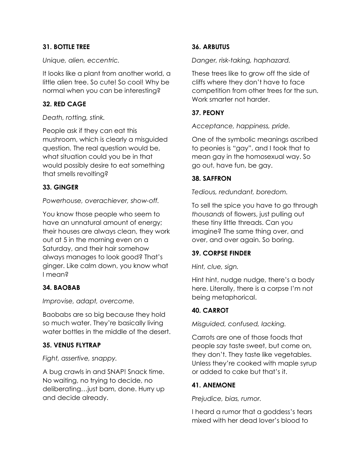## **31. BOTTLE TREE**

*Unique, alien, eccentric.*

It looks like a plant from another world, a little alien tree. So cute! So cool! Why be normal when you can be interesting?

## **32. RED CAGE**

#### *Death, rotting, stink.*

People ask if they can eat this mushroom, which is clearly a misguided question. The real question would be, what situation could you be in that would possibly desire to eat something that smells revolting?

## **33. GINGER**

*Powerhouse, overachiever, show-off.*

You know those people who seem to have an unnatural amount of energy; their houses are always clean, they work out at 5 in the morning even on a Saturday, and their hair somehow always manages to look good? That's ginger. Like calm down, you know what I mean?

#### **34. BAOBAB**

*Improvise, adapt, overcome.*

Baobabs are so big because they hold so much water. They're basically living water bottles in the middle of the desert.

#### **35. VENUS FLYTRAP**

*Fight, assertive, snappy.*

A bug crawls in and SNAP! Snack time. No waiting, no trying to decide, no deliberating…just bam, done. Hurry up and decide already.

# **36. ARBUTUS**

*Danger, risk-taking, haphazard.*

These trees like to grow off the side of cliffs where they don't have to face competition from other trees for the sun. Work smarter not harder.

## **37. PEONY**

*Acceptance, happiness, pride.*

One of the symbolic meanings ascribed to peonies is "gay", and I took that to mean gay in the homosexual way. So go out, have fun, be gay.

## **38. SAFFRON**

*Tedious, redundant, boredom.*

To sell the spice you have to go through *thousands* of flowers, just pulling out these tiny little threads. Can you imagine? The same thing over, and over, and over again. So boring.

#### **39. CORPSE FINDER**

*Hint, clue, sign.*

Hint hint, nudge nudge, there's a body here. Literally, there is a corpse I'm not being metaphorical.

# **40. CARROT**

*Misguided, confused, lacking.*

Carrots are one of those foods that people *say* taste sweet, but come on, they don't. They taste like vegetables. Unless they're cooked with maple syrup or added to cake but that's it.

#### **41. ANEMONE**

*Prejudice, bias, rumor.* 

I heard a rumor that a goddess's tears mixed with her dead lover's blood to